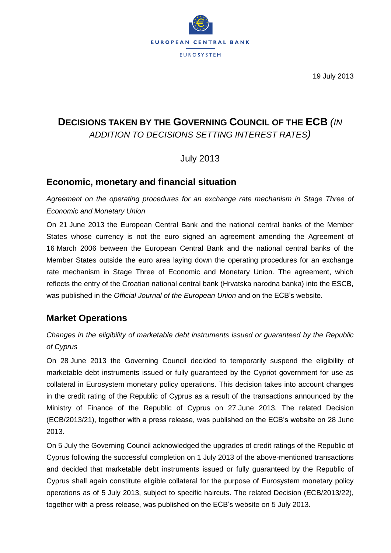

19 July 2013

# **DECISIONS TAKEN BY THE GOVERNING COUNCIL OF THE ECB** *(IN ADDITION TO DECISIONS SETTING INTEREST RATES)*

July 2013

# **Economic, monetary and financial situation**

*Agreement on the operating procedures for an exchange rate mechanism in Stage Three of Economic and Monetary Union*

On 21 June 2013 the European Central Bank and the national central banks of the Member States whose currency is not the euro signed an agreement amending the Agreement of 16 March 2006 between the European Central Bank and the national central banks of the Member States outside the euro area laying down the operating procedures for an exchange rate mechanism in Stage Three of Economic and Monetary Union. The agreement, which reflects the entry of the Croatian national central bank (Hrvatska narodna banka) into the ESCB, was published in the *Official Journal of the European Union* and on the ECB's website.

# **Market Operations**

# *Changes in the eligibility of marketable debt instruments issued or guaranteed by the Republic of Cyprus*

On 28 June 2013 the Governing Council decided to temporarily suspend the eligibility of marketable debt instruments issued or fully guaranteed by the Cypriot government for use as collateral in Eurosystem monetary policy operations. This decision takes into account changes in the credit rating of the Republic of Cyprus as a result of the transactions announced by the Ministry of Finance of the Republic of Cyprus on 27 June 2013. The related Decision (ECB/2013/21), together with a press release, was published on the ECB's website on 28 June 2013.

On 5 July the Governing Council acknowledged the upgrades of credit ratings of the Republic of Cyprus following the successful completion on 1 July 2013 of the above-mentioned transactions and decided that marketable debt instruments issued or fully guaranteed by the Republic of Cyprus shall again constitute eligible collateral for the purpose of Eurosystem monetary policy operations as of 5 July 2013, subject to specific haircuts. The related Decision (ECB/2013/22), together with a press release, was published on the ECB's website on 5 July 2013.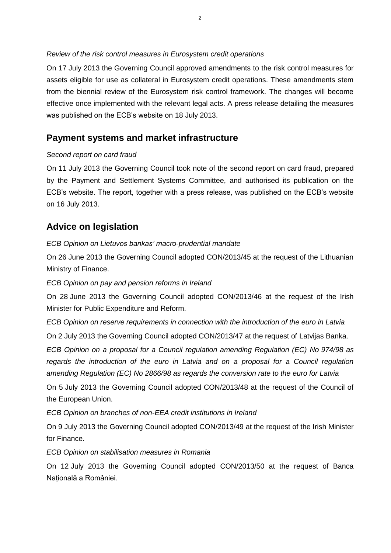#### *Review of the risk control measures in Eurosystem credit operations*

On 17 July 2013 the Governing Council approved amendments to the risk control measures for assets eligible for use as collateral in Eurosystem credit operations. These amendments stem from the biennial review of the Eurosystem risk control framework. The changes will become effective once implemented with the relevant legal acts. A press release detailing the measures was published on the ECB's website on 18 July 2013.

## **Payment systems and market infrastructure**

#### *Second report on card fraud*

On 11 July 2013 the Governing Council took note of the second report on card fraud, prepared by the Payment and Settlement Systems Committee, and authorised its publication on the ECB's website. The report, together with a press release, was published on the ECB's website on 16 July 2013.

# **Advice on legislation**

#### *ECB Opinion on Lietuvos bankas' macro-prudential mandate*

On 26 June 2013 the Governing Council adopted CON/2013/45 at the request of the Lithuanian Ministry of Finance.

### *ECB Opinion on pay and pension reforms in Ireland*

On 28 June 2013 the Governing Council adopted CON/2013/46 at the request of the Irish Minister for Public Expenditure and Reform.

*ECB Opinion on reserve requirements in connection with the introduction of the euro in Latvia*

On 2 July 2013 the Governing Council adopted CON/2013/47 at the request of Latvijas Banka.

*ECB Opinion on a proposal for a Council regulation amending Regulation (EC) No 974/98 as regards the introduction of the euro in Latvia and on a proposal for a Council regulation amending Regulation (EC) No 2866/98 as regards the conversion rate to the euro for Latvia*

On 5 July 2013 the Governing Council adopted CON/2013/48 at the request of the Council of the European Union.

*ECB Opinion on branches of non-EEA credit institutions in Ireland*

On 9 July 2013 the Governing Council adopted CON/2013/49 at the request of the Irish Minister for Finance.

*ECB Opinion on stabilisation measures in Romania*

On 12 July 2013 the Governing Council adopted CON/2013/50 at the request of Banca Natională a României.